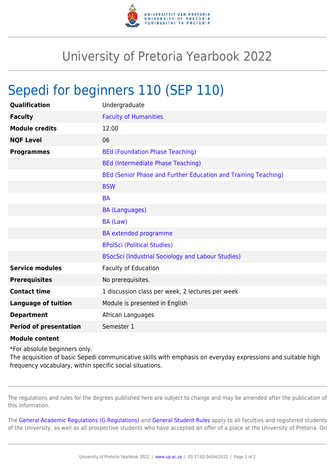

## University of Pretoria Yearbook 2022

## Sepedi for beginners 110 (SEP 110)

| Qualification                 | Undergraduate                                                  |
|-------------------------------|----------------------------------------------------------------|
| <b>Faculty</b>                | <b>Faculty of Humanities</b>                                   |
| <b>Module credits</b>         | 12.00                                                          |
| <b>NQF Level</b>              | 06                                                             |
| <b>Programmes</b>             | <b>BEd (Foundation Phase Teaching)</b>                         |
|                               | <b>BEd (Intermediate Phase Teaching)</b>                       |
|                               | BEd (Senior Phase and Further Education and Training Teaching) |
|                               | <b>BSW</b>                                                     |
|                               | <b>BA</b>                                                      |
|                               | <b>BA (Languages)</b>                                          |
|                               | BA (Law)                                                       |
|                               | <b>BA</b> extended programme                                   |
|                               | <b>BPolSci (Political Studies)</b>                             |
|                               | BSocSci (Industrial Sociology and Labour Studies)              |
| <b>Service modules</b>        | <b>Faculty of Education</b>                                    |
| <b>Prerequisites</b>          | No prerequisites.                                              |
| <b>Contact time</b>           | 1 discussion class per week, 2 lectures per week               |
| <b>Language of tuition</b>    | Module is presented in English                                 |
| <b>Department</b>             | African Languages                                              |
| <b>Period of presentation</b> | Semester 1                                                     |

## **Module content**

\*For absolute beginners only.

The acquisition of basic Sepedi communicative skills with emphasis on everyday expressions and suitable high frequency vocabulary, within specific social situations.

The regulations and rules for the degrees published here are subject to change and may be amended after the publication of this information.

The [General Academic Regulations \(G Regulations\)](https://www.up.ac.za/yearbooks/2022/rules/view/REG) and [General Student Rules](https://www.up.ac.za/yearbooks/2022/rules/view/RUL) apply to all faculties and registered students of the University, as well as all prospective students who have accepted an offer of a place at the University of Pretoria. On